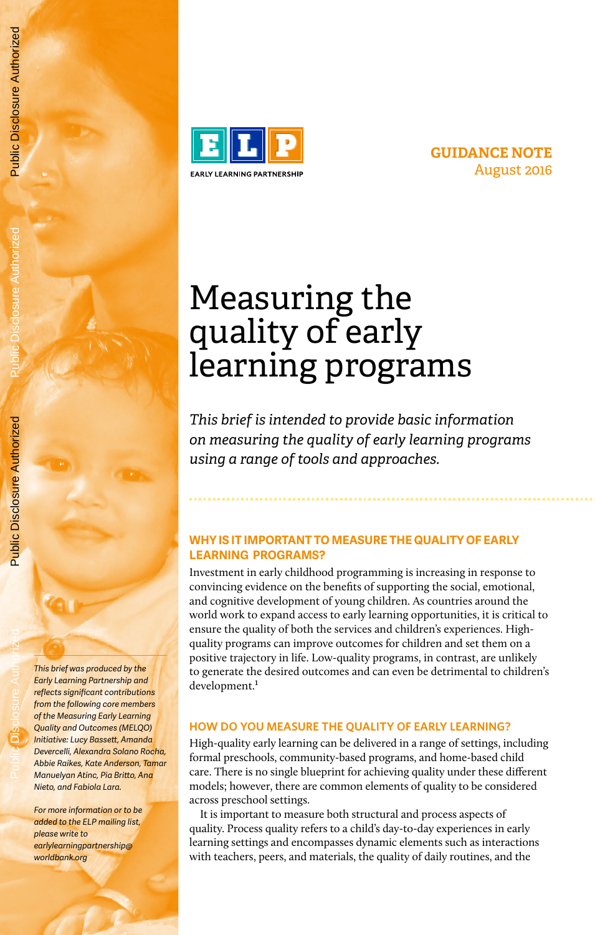Public Disclosure Authorized

Public Disclosure Authorized

Public Disclosure Authorized Public Disclosure Authorized

Public Disclosure Authorized

*This brief was produced by the Early Learning Partnership and reflects significant contributions from the following core members of the Measuring Early Learning Quality and Outcomes (MELQO) Initiative: Lucy Bassett, Amanda Devercelli, Alexandra Solano Rocha, Abbie Raikes, Kate Anderson, Tamar Manuelyan Atinc, Pia Britto, Ana Nieto, and Fabiola Lara.* 

*For more information or to be added to the ELP mailing list, please write to earlylearningpartnership@ worldbank.org*





# Measuring the quality of early learning programs

*This brief is intended to provide basic information on measuring the quality of early learning programs using a range of tools and approaches.*

#### **WHY IS IT IMPORTANT TO MEASURE THE QUALITY OF EARLY LEARNING PROGRAMS?**

Investment in early childhood programming is increasing in response to convincing evidence on the benefits of supporting the social, emotional, and cognitive development of young children. As countries around the world work to expand access to early learning opportunities, it is critical to ensure the quality of both the services and children's experiences. Highquality programs can improve outcomes for children and set them on a positive trajectory in life. Low-quality programs, in contrast, are unlikely to generate the desired outcomes and can even be detrimental to children's development.<sup>1</sup>

#### **HOW DO YOU MEASURE THE QUALITY OF EARLY LEARNING?**

High-quality early learning can be delivered in a range of settings, including formal preschools, community-based programs, and home-based child care. There is no single blueprint for achieving quality under these different models; however, there are common elements of quality to be considered across preschool settings.

It is important to measure both structural and process aspects of quality. Process quality refers to a child's day-to-day experiences in early learning settings and encompasses dynamic elements such as interactions with teachers, peers, and materials, the quality of daily routines, and the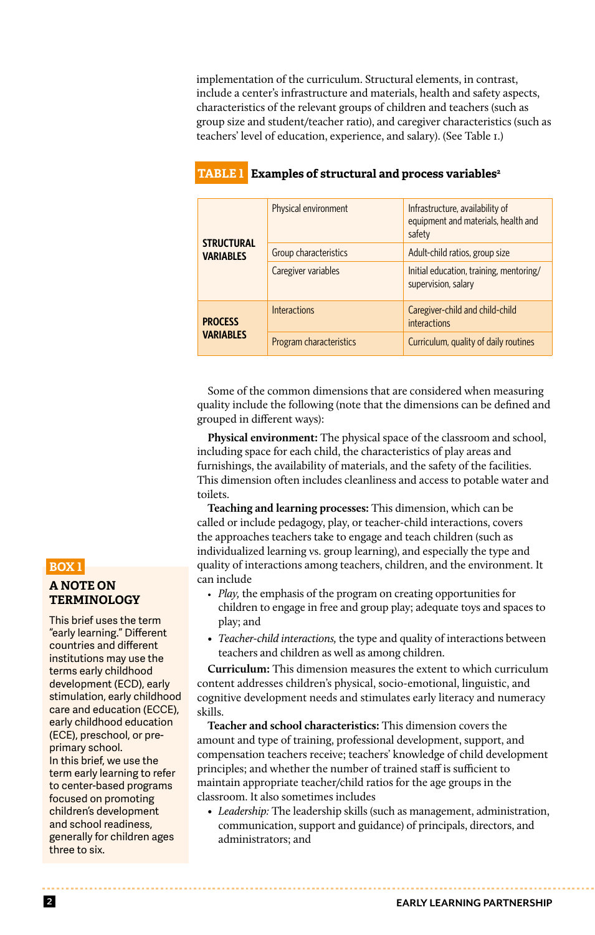implementation of the curriculum. Structural elements, in contrast, include a center's infrastructure and materials, health and safety aspects, characteristics of the relevant groups of children and teachers (such as group size and student/teacher ratio), and caregiver characteristics (such as teachers' level of education, experience, and salary). (See Table 1.)

|                                       | Physical environment    | Infrastructure, availability of<br>equipment and materials, health and<br>safety |  |  |  |
|---------------------------------------|-------------------------|----------------------------------------------------------------------------------|--|--|--|
| <b>STRUCTURAL</b><br><b>VARIABLES</b> | Group characteristics   | Adult-child ratios, group size                                                   |  |  |  |
|                                       | Caregiver variables     | Initial education, training, mentoring/<br>supervision, salary                   |  |  |  |
| <b>PROCESS</b>                        | <b>Interactions</b>     | Caregiver-child and child-child<br>interactions                                  |  |  |  |
| <b>VARIABLES</b>                      | Program characteristics | Curriculum, quality of daily routines                                            |  |  |  |

#### **TABLE 1 Examples of structural and process variables2**

Some of the common dimensions that are considered when measuring quality include the following (note that the dimensions can be defined and grouped in different ways):

**Physical environment:** The physical space of the classroom and school, including space for each child, the characteristics of play areas and furnishings, the availability of materials, and the safety of the facilities. This dimension often includes cleanliness and access to potable water and toilets.

**Teaching and learning processes:** This dimension, which can be called or include pedagogy, play, or teacher-child interactions, covers the approaches teachers take to engage and teach children (such as individualized learning vs. group learning), and especially the type and quality of interactions among teachers, children, and the environment. It can include

- *Play,* the emphasis of the program on creating opportunities for children to engage in free and group play; adequate toys and spaces to play; and
- *Teacher-child interactions,* the type and quality of interactions between teachers and children as well as among children.

**Curriculum:** This dimension measures the extent to which curriculum content addresses children's physical, socio-emotional, linguistic, and cognitive development needs and stimulates early literacy and numeracy skills.

**Teacher and school characteristics:** This dimension covers the amount and type of training, professional development, support, and compensation teachers receive; teachers' knowledge of child development principles; and whether the number of trained staff is sufficient to maintain appropriate teacher/child ratios for the age groups in the classroom. It also sometimes includes

• *Leadership:* The leadership skills (such as management, administration, communication, support and guidance) of principals, directors, and administrators; and

#### **BOX 1 A NOTE ON**

## **TERMINOLOGY**

This brief uses the term "early learning." Different countries and different institutions may use the terms early childhood development (ECD), early stimulation, early childhood care and education (ECCE), early childhood education (ECE), preschool, or preprimary school. In this brief, we use the term early learning to refer to center-based programs focused on promoting children's development and school readiness, generally for children ages three to six.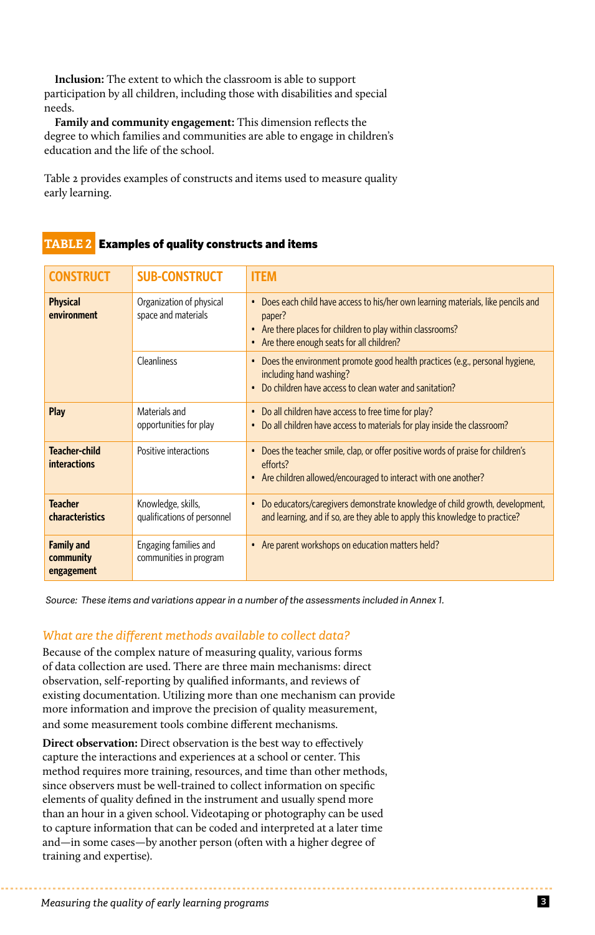**Inclusion:** The extent to which the classroom is able to support participation by all children, including those with disabilities and special needs.

**Family and community engagement:** This dimension reflects the degree to which families and communities are able to engage in children's education and the life of the school.

Table 2 provides examples of constructs and items used to measure quality early learning.

| <b>CONSTRUCT</b>                             | <b>SUB-CONSTRUCT</b>                              | <b>ITEM</b>                                                                                                                                                                                                 |
|----------------------------------------------|---------------------------------------------------|-------------------------------------------------------------------------------------------------------------------------------------------------------------------------------------------------------------|
| <b>Physical</b><br>environment               | Organization of physical<br>space and materials   | Does each child have access to his/her own learning materials, like pencils and<br>٠<br>paper?<br>Are there places for children to play within classrooms?<br>Are there enough seats for all children?<br>٠ |
|                                              | <b>Cleanliness</b>                                | Does the environment promote good health practices (e.g., personal hygiene,<br>$\bullet$<br>including hand washing?<br>Do children have access to clean water and sanitation?<br>$\bullet$                  |
| Play                                         | Materials and<br>opportunities for play           | Do all children have access to free time for play?<br>٠<br>Do all children have access to materials for play inside the classroom?<br>٠                                                                     |
| <b>Teacher-child</b><br><b>interactions</b>  | Positive interactions                             | Does the teacher smile, clap, or offer positive words of praise for children's<br>٠<br>efforts?<br>Are children allowed/encouraged to interact with one another?<br>$\bullet$                               |
| <b>Teacher</b><br><b>characteristics</b>     | Knowledge, skills,<br>qualifications of personnel | Do educators/caregivers demonstrate knowledge of child growth, development,<br>$\bullet$<br>and learning, and if so, are they able to apply this knowledge to practice?                                     |
| <b>Family and</b><br>community<br>engagement | Engaging families and<br>communities in program   | • Are parent workshops on education matters held?                                                                                                                                                           |

#### **TABLE 2** Examples of quality constructs and items

*Source: These items and variations appear in a number of the assessments included in Annex 1.*

#### *What are the different methods available to collect data?*

Because of the complex nature of measuring quality, various forms of data collection are used. There are three main mechanisms: direct observation, self-reporting by qualified informants, and reviews of existing documentation. Utilizing more than one mechanism can provide more information and improve the precision of quality measurement, and some measurement tools combine different mechanisms.

**Direct observation:** Direct observation is the best way to effectively capture the interactions and experiences at a school or center. This method requires more training, resources, and time than other methods, since observers must be well-trained to collect information on specific elements of quality defined in the instrument and usually spend more than an hour in a given school. Videotaping or photography can be used to capture information that can be coded and interpreted at a later time and—in some cases—by another person (often with a higher degree of training and expertise).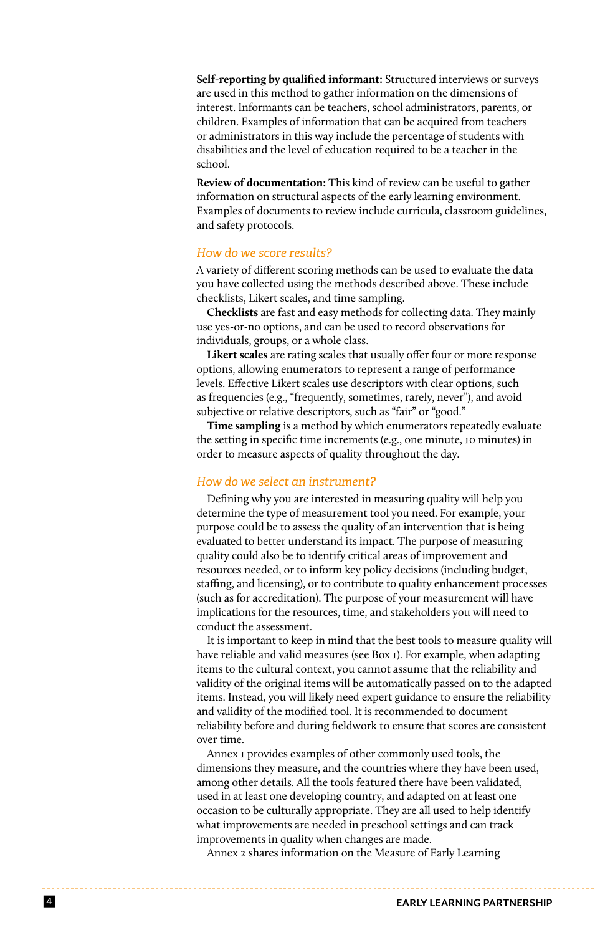**Self-reporting by qualified informant:** Structured interviews or surveys are used in this method to gather information on the dimensions of interest. Informants can be teachers, school administrators, parents, or children. Examples of information that can be acquired from teachers or administrators in this way include the percentage of students with disabilities and the level of education required to be a teacher in the school.

**Review of documentation:** This kind of review can be useful to gather information on structural aspects of the early learning environment. Examples of documents to review include curricula, classroom guidelines, and safety protocols.

#### *How do we score results?*

A variety of different scoring methods can be used to evaluate the data you have collected using the methods described above. These include checklists, Likert scales, and time sampling.

**Checklists** are fast and easy methods for collecting data. They mainly use yes-or-no options, and can be used to record observations for individuals, groups, or a whole class.

**Likert scales** are rating scales that usually offer four or more response options, allowing enumerators to represent a range of performance levels. Effective Likert scales use descriptors with clear options, such as frequencies (e.g., "frequently, sometimes, rarely, never"), and avoid subjective or relative descriptors, such as "fair" or "good."

**Time sampling** is a method by which enumerators repeatedly evaluate the setting in specific time increments (e.g., one minute, 10 minutes) in order to measure aspects of quality throughout the day.

#### *How do we select an instrument?*

Defining why you are interested in measuring quality will help you determine the type of measurement tool you need. For example, your purpose could be to assess the quality of an intervention that is being evaluated to better understand its impact. The purpose of measuring quality could also be to identify critical areas of improvement and resources needed, or to inform key policy decisions (including budget, staffing, and licensing), or to contribute to quality enhancement processes (such as for accreditation). The purpose of your measurement will have implications for the resources, time, and stakeholders you will need to conduct the assessment.

It is important to keep in mind that the best tools to measure quality will have reliable and valid measures (see Box 1). For example, when adapting items to the cultural context, you cannot assume that the reliability and validity of the original items will be automatically passed on to the adapted items. Instead, you will likely need expert guidance to ensure the reliability and validity of the modified tool. It is recommended to document reliability before and during fieldwork to ensure that scores are consistent over time.

Annex 1 provides examples of other commonly used tools, the dimensions they measure, and the countries where they have been used, among other details. All the tools featured there have been validated, used in at least one developing country, and adapted on at least one occasion to be culturally appropriate. They are all used to help identify what improvements are needed in preschool settings and can track improvements in quality when changes are made.

Annex 2 shares information on the Measure of Early Learning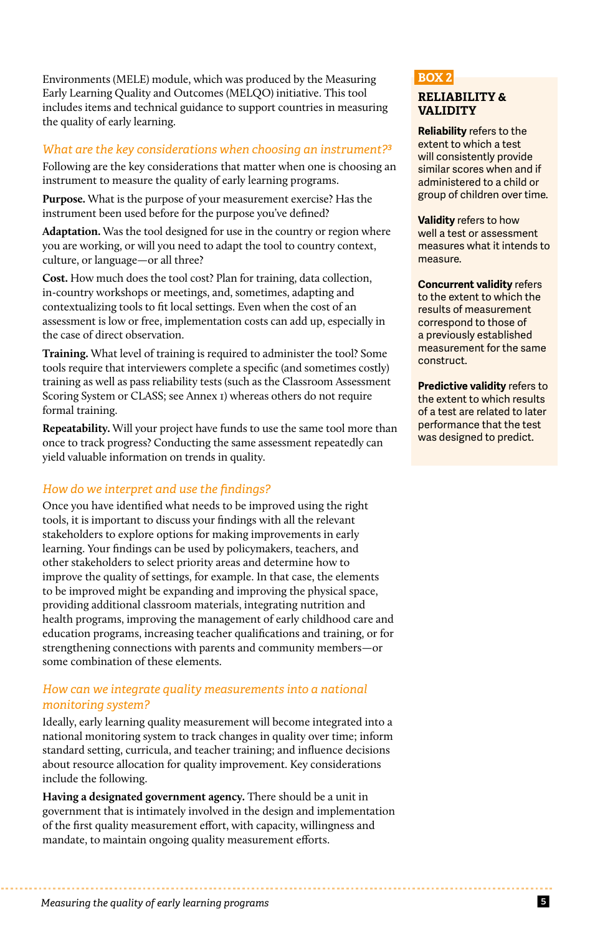Environments (MELE) module, which was produced by the Measuring Early Learning Quality and Outcomes (MELQO) initiative. This tool includes items and technical guidance to support countries in measuring the quality of early learning.

#### *What are the key considerations when choosing an instrument?3*

Following are the key considerations that matter when one is choosing an instrument to measure the quality of early learning programs.

**Purpose.** What is the purpose of your measurement exercise? Has the instrument been used before for the purpose you've defined?

**Adaptation.** Was the tool designed for use in the country or region where you are working, or will you need to adapt the tool to country context, culture, or language—or all three?

**Cost.** How much does the tool cost? Plan for training, data collection, in-country workshops or meetings, and, sometimes, adapting and contextualizing tools to fit local settings. Even when the cost of an assessment is low or free, implementation costs can add up, especially in the case of direct observation.

**Training.** What level of training is required to administer the tool? Some tools require that interviewers complete a specific (and sometimes costly) training as well as pass reliability tests (such as the Classroom Assessment Scoring System or CLASS; see Annex 1) whereas others do not require formal training.

**Repeatability.** Will your project have funds to use the same tool more than once to track progress? Conducting the same assessment repeatedly can yield valuable information on trends in quality.

#### *How do we interpret and use the findings?*

Once you have identified what needs to be improved using the right tools, it is important to discuss your findings with all the relevant stakeholders to explore options for making improvements in early learning. Your findings can be used by policymakers, teachers, and other stakeholders to select priority areas and determine how to improve the quality of settings, for example. In that case, the elements to be improved might be expanding and improving the physical space, providing additional classroom materials, integrating nutrition and health programs, improving the management of early childhood care and education programs, increasing teacher qualifications and training, or for strengthening connections with parents and community members—or some combination of these elements.

#### *How can we integrate quality measurements into a national monitoring system?*

Ideally, early learning quality measurement will become integrated into a national monitoring system to track changes in quality over time; inform standard setting, curricula, and teacher training; and influence decisions about resource allocation for quality improvement. Key considerations include the following.

**Having a designated government agency.** There should be a unit in government that is intimately involved in the design and implementation of the first quality measurement effort, with capacity, willingness and mandate, to maintain ongoing quality measurement efforts.

## **BOX 2**

#### **RELIABILITY & VALIDITY**

**Reliability** refers to the extent to which a test will consistently provide similar scores when and if administered to a child or group of children over time.

**Validity** refers to how well a test or assessment measures what it intends to measure.

**Concurrent validity** refers to the extent to which the results of measurement correspond to those of a previously established measurement for the same construct.

**Predictive validity** refers to the extent to which results of a test are related to later performance that the test was designed to predict.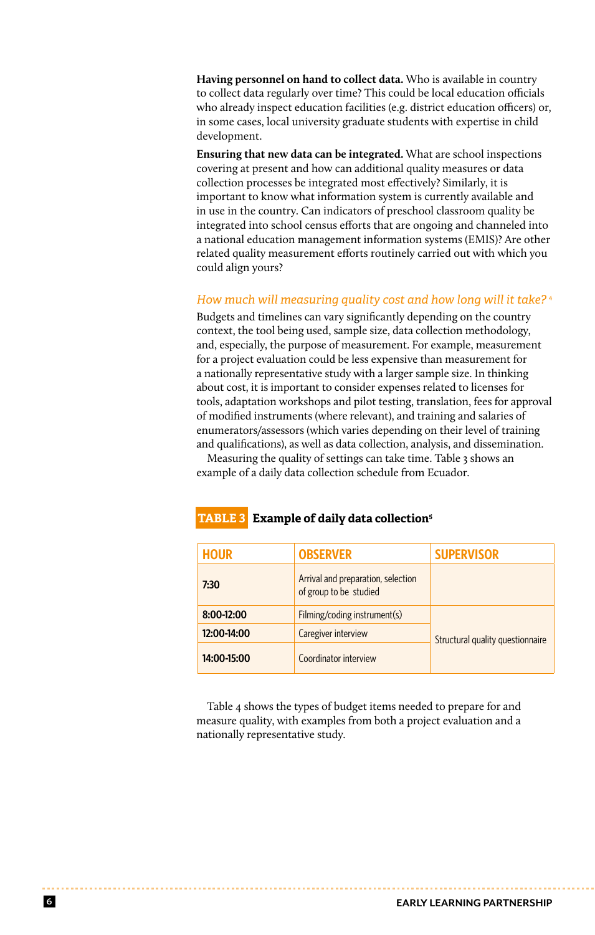**Having personnel on hand to collect data.** Who is available in country to collect data regularly over time? This could be local education officials who already inspect education facilities (e.g. district education officers) or, in some cases, local university graduate students with expertise in child development.

**Ensuring that new data can be integrated.** What are school inspections covering at present and how can additional quality measures or data collection processes be integrated most effectively? Similarly, it is important to know what information system is currently available and in use in the country. Can indicators of preschool classroom quality be integrated into school census efforts that are ongoing and channeled into a national education management information systems (EMIS)? Are other related quality measurement efforts routinely carried out with which you could align yours?

#### *How much will measuring quality cost and how long will it take? 4*

Budgets and timelines can vary significantly depending on the country context, the tool being used, sample size, data collection methodology, and, especially, the purpose of measurement. For example, measurement for a project evaluation could be less expensive than measurement for a nationally representative study with a larger sample size. In thinking about cost, it is important to consider expenses related to licenses for tools, adaptation workshops and pilot testing, translation, fees for approval of modified instruments (where relevant), and training and salaries of enumerators/assessors (which varies depending on their level of training and qualifications), as well as data collection, analysis, and dissemination.

Measuring the quality of settings can take time. Table 3 shows an example of a daily data collection schedule from Ecuador.

| <b>HOUR</b>                                | <b>OBSERVER</b>                                              | <b>SUPERVISOR</b>                |  |  |  |
|--------------------------------------------|--------------------------------------------------------------|----------------------------------|--|--|--|
| 7:30                                       | Arrival and preparation, selection<br>of group to be studied |                                  |  |  |  |
| Filming/coding instrument(s)<br>8:00-12:00 |                                                              |                                  |  |  |  |
| 12:00-14:00                                | Caregiver interview                                          | Structural quality questionnaire |  |  |  |
| 14:00-15:00                                | Coordinator interview                                        |                                  |  |  |  |

#### **TABLE 3 Example of daily data collection5**

Table 4 shows the types of budget items needed to prepare for and measure quality, with examples from both a project evaluation and a nationally representative study.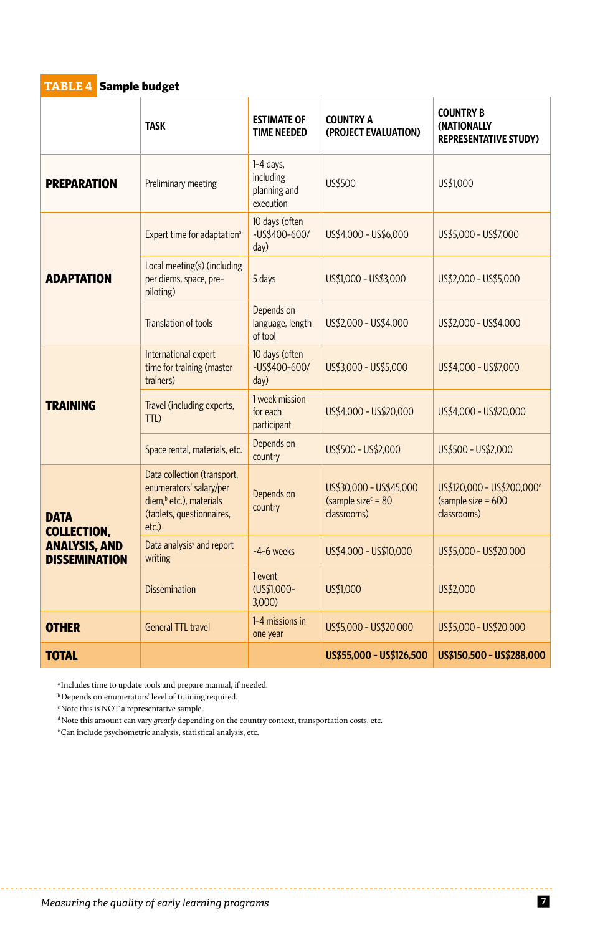### **TABLE 4** Sample budget

|                                              | <b>TASK</b>                                                                                                                            | <b>ESTIMATE OF</b><br><b>TIME NEEDED</b>            | <b>COUNTRY A</b><br>(PROJECT EVALUATION)                                              | <b>COUNTRY B</b><br>(NATIONALLY<br><b>REPRESENTATIVE STUDY)</b>               |  |  |
|----------------------------------------------|----------------------------------------------------------------------------------------------------------------------------------------|-----------------------------------------------------|---------------------------------------------------------------------------------------|-------------------------------------------------------------------------------|--|--|
| <b>PREPARATION</b>                           | Preliminary meeting                                                                                                                    | 1-4 days,<br>including<br>planning and<br>execution | US\$500                                                                               | US\$1,000                                                                     |  |  |
|                                              | Expert time for adaptation <sup>a</sup>                                                                                                | 10 days (often<br>~US\$400-600/<br>day)             | US\$4,000 - US\$6,000                                                                 | US\$5,000 - US\$7,000                                                         |  |  |
| <b>ADAPTATION</b>                            | Local meeting(s) (including<br>per diems, space, pre-<br>piloting)                                                                     | 5 days                                              | US\$1,000 - US\$3,000                                                                 | US\$2,000 - US\$5,000                                                         |  |  |
|                                              | Translation of tools                                                                                                                   | Depends on<br>language, length<br>of tool           | US\$2,000 - US\$4,000                                                                 | US\$2,000 - US\$4,000                                                         |  |  |
|                                              | International expert<br>time for training (master<br>trainers)                                                                         | 10 days (often<br>~US\$400-600/<br>day)             | US\$3,000 - US\$5,000                                                                 | US\$4,000 - US\$7,000                                                         |  |  |
| <b>TRAINING</b>                              | Travel (including experts,<br>TTL)                                                                                                     | 1 week mission<br>for each<br>participant           | US\$4,000 - US\$20,000                                                                | US\$4,000 - US\$20,000                                                        |  |  |
|                                              | Space rental, materials, etc.                                                                                                          | Depends on<br>country                               | US\$500 - US\$2,000                                                                   | US\$500 - US\$2,000                                                           |  |  |
| <b>DATA</b><br><b>COLLECTION,</b>            | Data collection (transport,<br>enumerators' salary/per<br>diem, <sup>b</sup> etc.), materials<br>(tablets, questionnaires,<br>$etc.$ ) | Depends on<br>country                               | US\$30,000 - US\$45,000<br>(sample size <sup><math>c</math></sup> = 80<br>classrooms) | US\$120,000 - US\$200,000 <sup>d</sup><br>(sample size $= 600$<br>classrooms) |  |  |
| <b>ANALYSIS, AND</b><br><b>DISSEMINATION</b> | Data analysis <sup>e</sup> and report<br>writing                                                                                       | $-4-6$ weeks                                        | US\$4,000 - US\$10,000                                                                | US\$5,000 - US\$20,000                                                        |  |  |
|                                              | <b>Dissemination</b>                                                                                                                   | 1 event<br>(US\$1,000-<br>3,000                     | US\$1,000                                                                             | US\$2,000                                                                     |  |  |
| <b>OTHER</b>                                 | <b>General TTL travel</b>                                                                                                              | 1-4 missions in<br>one year                         | US\$5,000 - US\$20,000                                                                | US\$5,000 - US\$20,000                                                        |  |  |
| <b>TOTAL</b>                                 |                                                                                                                                        |                                                     | US\$55,000 - US\$126,500                                                              | US\$150,500 - US\$288,000                                                     |  |  |

. . . . . . . . . .

a Includes time to update tools and prepare manual, if needed.

**b** Depends on enumerators' level of training required.

 $^{\mathrm{c}}$  Note this is NOT a representative sample.

d Note this amount can vary *greatly* depending on the country context, transportation costs, etc.

e Can include psychometric analysis, statistical analysis, etc.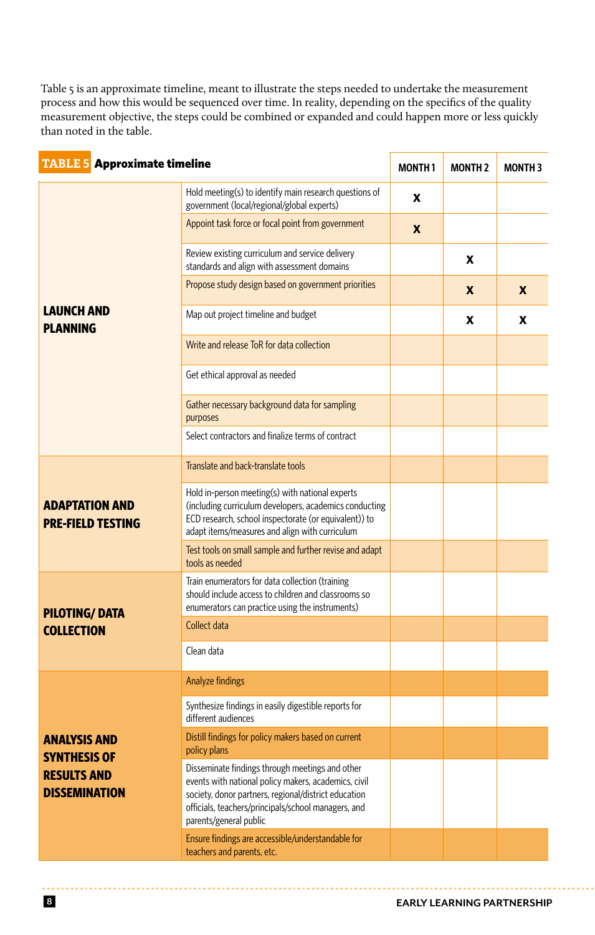Table 5 is an approximate timeline, meant to illustrate the steps needed to undertake the measurement process and how this would be sequenced over time. In reality, depending on the specifics of the quality measurement objective, the steps could be combined or expanded and could happen more or less quickly than noted in the table.

|                                                                                          | <b>TABLE 5</b> Approximate timeline |                                                                                                                                                                                                                                                  | <b>MONTH1</b>    | <b>MONTH 2</b>   | <b>MONTH3</b> |
|------------------------------------------------------------------------------------------|-------------------------------------|--------------------------------------------------------------------------------------------------------------------------------------------------------------------------------------------------------------------------------------------------|------------------|------------------|---------------|
|                                                                                          |                                     | Hold meeting(s) to identify main research questions of<br>government (local/regional/global experts)                                                                                                                                             | $\boldsymbol{x}$ |                  |               |
|                                                                                          |                                     | Appoint task force or focal point from government                                                                                                                                                                                                | $\boldsymbol{x}$ |                  |               |
|                                                                                          |                                     | Review existing curriculum and service delivery<br>standards and align with assessment domains                                                                                                                                                   |                  | X                |               |
|                                                                                          |                                     | Propose study design based on government priorities                                                                                                                                                                                              |                  | $\boldsymbol{x}$ | X             |
| <b>LAUNCH AND</b><br><b>PLANNING</b>                                                     |                                     | Map out project timeline and budget                                                                                                                                                                                                              |                  | X                | X             |
|                                                                                          |                                     | Write and release ToR for data collection                                                                                                                                                                                                        |                  |                  |               |
|                                                                                          |                                     | Get ethical approval as needed                                                                                                                                                                                                                   |                  |                  |               |
|                                                                                          |                                     | Gather necessary background data for sampling<br>purposes                                                                                                                                                                                        |                  |                  |               |
|                                                                                          |                                     | Select contractors and finalize terms of contract                                                                                                                                                                                                |                  |                  |               |
| <b>ADAPTATION AND</b><br><b>PRE-FIELD TESTING</b>                                        |                                     | Translate and back-translate tools                                                                                                                                                                                                               |                  |                  |               |
|                                                                                          |                                     | Hold in-person meeting(s) with national experts<br>(including curriculum developers, academics conducting<br>ECD research, school inspectorate (or equivalent)) to<br>adapt items/measures and align with curriculum                             |                  |                  |               |
|                                                                                          |                                     | Test tools on small sample and further revise and adapt<br>tools as needed                                                                                                                                                                       |                  |                  |               |
| <b>PILOTING/DATA</b>                                                                     |                                     | Train enumerators for data collection (training<br>should include access to children and classrooms so<br>enumerators can practice using the instruments)                                                                                        |                  |                  |               |
| <b>COLLECTION</b>                                                                        |                                     | Collect data                                                                                                                                                                                                                                     |                  |                  |               |
|                                                                                          |                                     | Clean data                                                                                                                                                                                                                                       |                  |                  |               |
|                                                                                          |                                     | Analyze findings                                                                                                                                                                                                                                 |                  |                  |               |
|                                                                                          |                                     | Synthesize findings in easily digestible reports for<br>different audiences                                                                                                                                                                      |                  |                  |               |
| <b>ANALYSIS AND</b><br><b>SYNTHESIS OF</b><br><b>RESULTS AND</b><br><b>DISSEMINATION</b> |                                     | Distill findings for policy makers based on current<br>policy plans                                                                                                                                                                              |                  |                  |               |
|                                                                                          |                                     | Disseminate findings through meetings and other<br>events with national policy makers, academics, civil<br>society, donor partners, regional/district education<br>officials, teachers/principals/school managers, and<br>parents/general public |                  |                  |               |
|                                                                                          |                                     | Ensure findings are accessible/understandable for<br>teachers and parents, etc.                                                                                                                                                                  |                  |                  |               |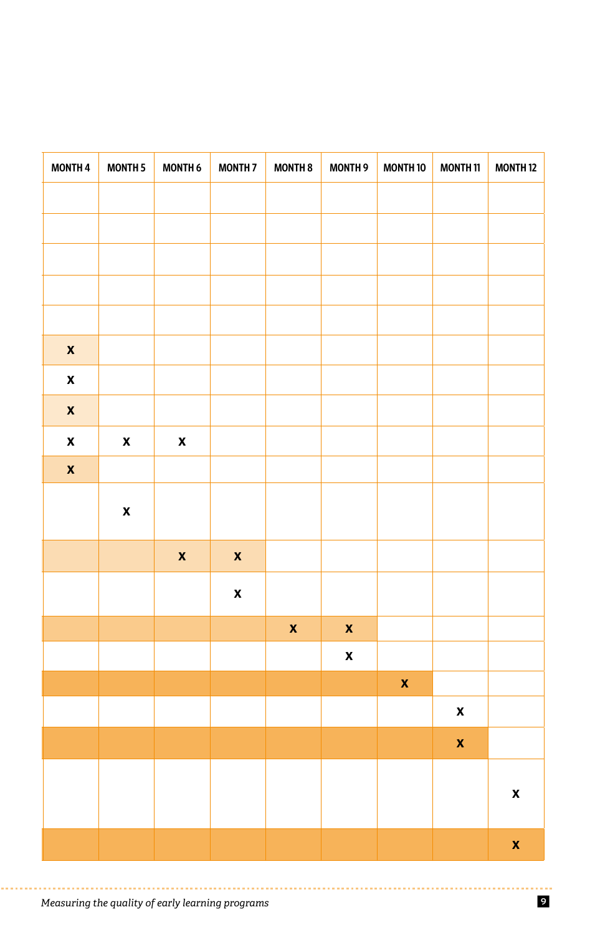|                           | <b>MONTH4</b> | <b>MONTH 5</b>            | <b>MONTH 6</b>     | MONTH 7                   | <b>MONTH 8</b> | <b>MONTH 9</b>            | MONTH 10     | <b>MONTH11</b>            | <b>MONTH12</b>     |
|---------------------------|---------------|---------------------------|--------------------|---------------------------|----------------|---------------------------|--------------|---------------------------|--------------------|
|                           |               |                           |                    |                           |                |                           |              |                           |                    |
|                           |               |                           |                    |                           |                |                           |              |                           |                    |
|                           |               |                           |                    |                           |                |                           |              |                           |                    |
|                           |               |                           |                    |                           |                |                           |              |                           |                    |
|                           |               |                           |                    |                           |                |                           |              |                           |                    |
| $\boldsymbol{\mathsf{X}}$ |               |                           |                    |                           |                |                           |              |                           |                    |
| $\mathbf{x}$              |               |                           |                    |                           |                |                           |              |                           |                    |
| $\mathbf{x}$              |               |                           |                    |                           |                |                           |              |                           |                    |
| $\pmb{\mathsf{x}}$        |               | $\boldsymbol{\mathsf{X}}$ | $\pmb{\mathsf{x}}$ |                           |                |                           |              |                           |                    |
| $\mathbf{x}$              |               |                           |                    |                           |                |                           |              |                           |                    |
|                           |               | $\pmb{\mathsf{x}}$        |                    |                           |                |                           |              |                           |                    |
|                           |               |                           |                    |                           |                |                           |              |                           |                    |
|                           |               |                           | $\mathbf{x}$       | $\mathbf{x}$              |                |                           |              |                           |                    |
|                           |               |                           |                    | $\boldsymbol{\mathsf{x}}$ |                |                           |              |                           |                    |
|                           |               |                           |                    |                           | $\mathbf{x}$   | $\mathbf{x}$              |              |                           |                    |
|                           |               |                           |                    |                           |                | $\boldsymbol{\mathsf{X}}$ |              |                           |                    |
|                           |               |                           |                    |                           |                |                           | $\mathbf{x}$ |                           |                    |
|                           |               |                           |                    |                           |                |                           |              | $\boldsymbol{\mathsf{X}}$ |                    |
|                           |               |                           |                    |                           |                |                           |              | $\mathbf{X}$              |                    |
|                           |               |                           |                    |                           |                |                           |              |                           |                    |
|                           |               |                           |                    |                           |                |                           |              |                           | $\pmb{\mathsf{X}}$ |
|                           |               |                           |                    |                           |                |                           |              |                           | $\mathbf x$        |
|                           |               |                           |                    |                           |                |                           |              |                           |                    |

. . . . . . . . . . . . . . . . . .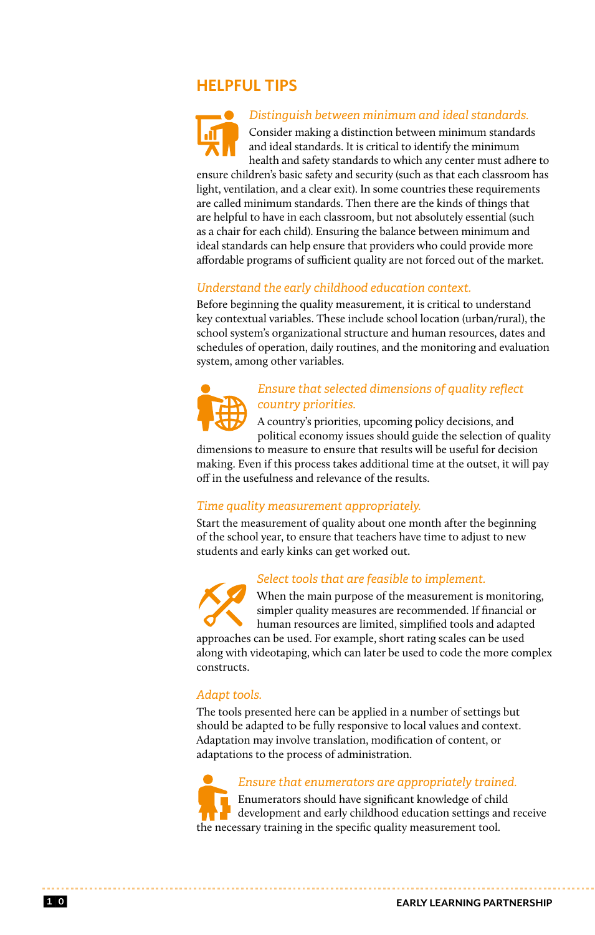### **HELPFUL TIPS**



#### *Distinguish between minimum and ideal standards.*

Consider making a distinction between minimum standards and ideal standards. It is critical to identify the minimum health and safety standards to which any center must adhere to

ensure children's basic safety and security (such as that each classroom has light, ventilation, and a clear exit). In some countries these requirements are called minimum standards. Then there are the kinds of things that are helpful to have in each classroom, but not absolutely essential (such as a chair for each child). Ensuring the balance between minimum and ideal standards can help ensure that providers who could provide more affordable programs of sufficient quality are not forced out of the market.

#### *Understand the early childhood education context.*

Before beginning the quality measurement, it is critical to understand key contextual variables. These include school location (urban/rural), the school system's organizational structure and human resources, dates and schedules of operation, daily routines, and the monitoring and evaluation system, among other variables.



#### *Ensure that selected dimensions of quality reflect country priorities.*

A country's priorities, upcoming policy decisions, and political economy issues should guide the selection of quality

dimensions to measure to ensure that results will be useful for decision making. Even if this process takes additional time at the outset, it will pay off in the usefulness and relevance of the results.

#### *Time quality measurement appropriately.*

Start the measurement of quality about one month after the beginning of the school year, to ensure that teachers have time to adjust to new students and early kinks can get worked out.



#### *Select tools that are feasible to implement.*

When the main purpose of the measurement is monitoring, simpler quality measures are recommended. If financial or human resources are limited, simplified tools and adapted approaches can be used. For example, short rating scales can be used

along with videotaping, which can later be used to code the more complex constructs.

#### *Adapt tools.*

The tools presented here can be applied in a number of settings but should be adapted to be fully responsive to local values and context. Adaptation may involve translation, modification of content, or adaptations to the process of administration.

#### *Ensure that enumerators are appropriately trained.*

Enumerators should have significant knowledge of child development and early childhood education settings and receive the necessary training in the specific quality measurement tool.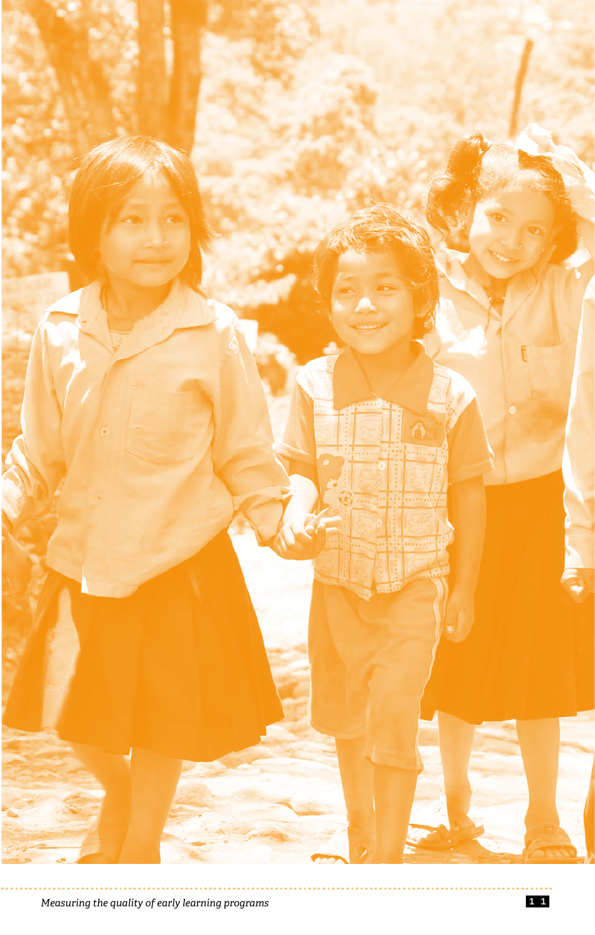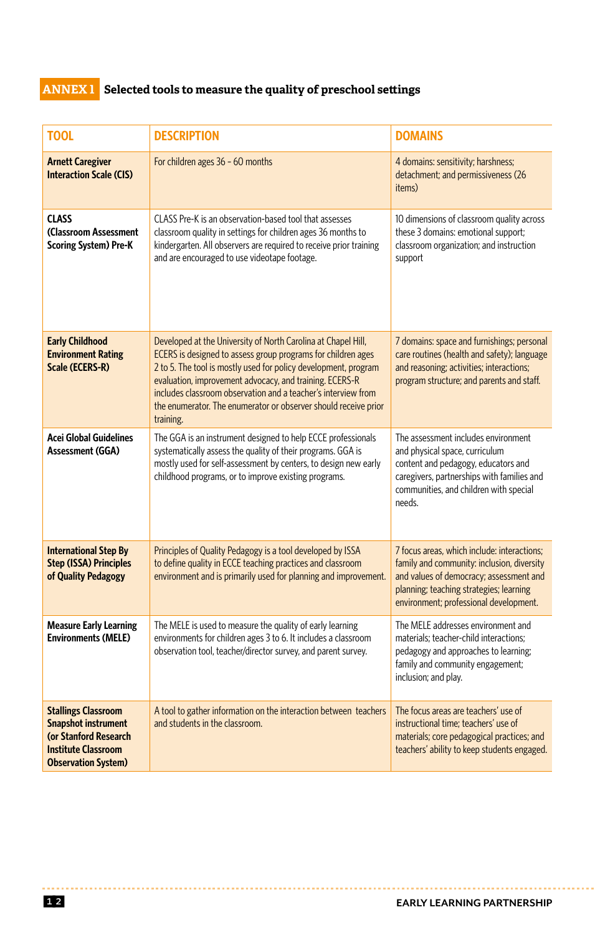## **ANNEX 1 Selected tools to measure the quality of preschool settings**

| <b>TOOL</b>                                                                                                                                   | <b>DESCRIPTION</b>                                                                                                                                                                                                                                                                                                                                                                                           | <b>DOMAINS</b>                                                                                                                                                                                                            |
|-----------------------------------------------------------------------------------------------------------------------------------------------|--------------------------------------------------------------------------------------------------------------------------------------------------------------------------------------------------------------------------------------------------------------------------------------------------------------------------------------------------------------------------------------------------------------|---------------------------------------------------------------------------------------------------------------------------------------------------------------------------------------------------------------------------|
| <b>Arnett Caregiver</b><br><b>Interaction Scale (CIS)</b>                                                                                     | For children ages 36 - 60 months                                                                                                                                                                                                                                                                                                                                                                             | 4 domains: sensitivity; harshness;<br>detachment; and permissiveness (26<br>items)                                                                                                                                        |
| <b>CLASS</b><br>(Classroom Assessment<br><b>Scoring System) Pre-K</b>                                                                         | CLASS Pre-K is an observation-based tool that assesses<br>classroom quality in settings for children ages 36 months to<br>kindergarten. All observers are required to receive prior training<br>and are encouraged to use videotape footage.                                                                                                                                                                 | 10 dimensions of classroom quality across<br>these 3 domains: emotional support;<br>classroom organization; and instruction<br>support                                                                                    |
| <b>Early Childhood</b><br><b>Environment Rating</b><br><b>Scale (ECERS-R)</b>                                                                 | Developed at the University of North Carolina at Chapel Hill,<br>ECERS is designed to assess group programs for children ages<br>2 to 5. The tool is mostly used for policy development, program<br>evaluation, improvement advocacy, and training. ECERS-R<br>includes classroom observation and a teacher's interview from<br>the enumerator. The enumerator or observer should receive prior<br>training. | 7 domains: space and furnishings; personal<br>care routines (health and safety); language<br>and reasoning; activities; interactions;<br>program structure; and parents and staff.                                        |
| <b>Acei Global Guidelines</b><br><b>Assessment (GGA)</b>                                                                                      | The GGA is an instrument designed to help ECCE professionals<br>systematically assess the quality of their programs. GGA is<br>mostly used for self-assessment by centers, to design new early<br>childhood programs, or to improve existing programs.                                                                                                                                                       | The assessment includes environment<br>and physical space, curriculum<br>content and pedagogy, educators and<br>caregivers, partnerships with families and<br>communities, and children with special<br>needs.            |
| <b>International Step By</b><br><b>Step (ISSA) Principles</b><br>of Quality Pedagogy                                                          | Principles of Quality Pedagogy is a tool developed by ISSA<br>to define quality in ECCE teaching practices and classroom<br>environment and is primarily used for planning and improvement                                                                                                                                                                                                                   | 7 focus areas, which include: interactions;<br>family and community: inclusion, diversity<br>and values of democracy; assessment and<br>planning; teaching strategies; learning<br>environment; professional development. |
| <b>Measure Early Learning</b><br><b>Environments (MELE)</b>                                                                                   | The MELE is used to measure the quality of early learning<br>environments for children ages 3 to 6. It includes a classroom<br>observation tool, teacher/director survey, and parent survey.                                                                                                                                                                                                                 | The MELE addresses environment and<br>materials; teacher-child interactions;<br>pedagogy and approaches to learning;<br>family and community engagement;<br>inclusion; and play.                                          |
| <b>Stallings Classroom</b><br><b>Snapshot instrument</b><br>(or Stanford Research<br><b>Institute Classroom</b><br><b>Observation System)</b> | A tool to gather information on the interaction between teachers<br>and students in the classroom.                                                                                                                                                                                                                                                                                                           | The focus areas are teachers' use of<br>instructional time: teachers' use of<br>materials; core pedagogical practices; and<br>teachers' ability to keep students engaged.                                                 |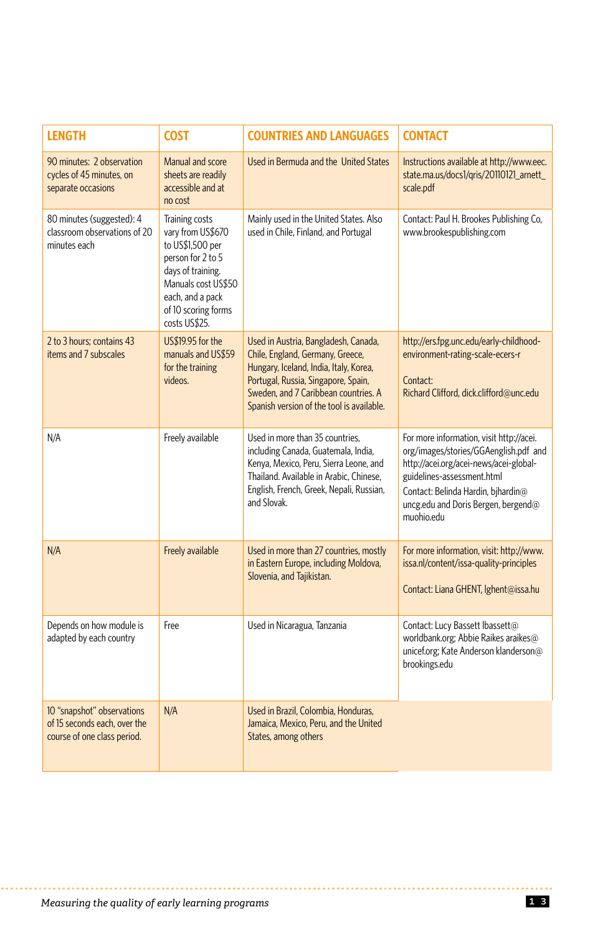| <b>LENGTH</b>      |                                                                                           | <b>COST</b>                                                                                                                                                                          | <b>COUNTRIES AND LANGUAGES</b>                                                                                                                                                                                                                 | <b>CONTACT</b>                                                                                                                                                                                                                                       |
|--------------------|-------------------------------------------------------------------------------------------|--------------------------------------------------------------------------------------------------------------------------------------------------------------------------------------|------------------------------------------------------------------------------------------------------------------------------------------------------------------------------------------------------------------------------------------------|------------------------------------------------------------------------------------------------------------------------------------------------------------------------------------------------------------------------------------------------------|
| separate occasions | 90 minutes: 2 observation<br>cycles of 45 minutes, on                                     | Manual and score<br>sheets are readily<br>accessible and at<br>no cost                                                                                                               | Used in Bermuda and the United States                                                                                                                                                                                                          | Instructions available at http://www.eec.<br>state.ma.us/docs1/qris/20110121_arnett_<br>scale.pdf                                                                                                                                                    |
| minutes each       | 80 minutes (suggested): 4<br>classroom observations of 20                                 | Training costs<br>vary from US\$670<br>to US\$1,500 per<br>person for 2 to 5<br>days of training.<br>Manuals cost US\$50<br>each, and a pack<br>of 10 scoring forms<br>costs US\$25. | Mainly used in the United States. Also<br>used in Chile, Finland, and Portugal                                                                                                                                                                 | Contact: Paul H. Brookes Publishing Co,<br>www.brookespublishing.com                                                                                                                                                                                 |
|                    | 2 to 3 hours; contains 43<br>items and 7 subscales                                        | US\$19.95 for the<br>manuals and US\$59<br>for the training<br>videos.                                                                                                               | Used in Austria, Bangladesh, Canada,<br>Chile, England, Germany, Greece,<br>Hungary, Iceland, India, Italy, Korea,<br>Portugal, Russia, Singapore, Spain,<br>Sweden, and 7 Caribbean countries. A<br>Spanish version of the tool is available. | http://ers.fpg.unc.edu/early-childhood-<br>environment-rating-scale-ecers-r<br>Contact:<br>Richard Clifford, dick.clifford@unc.edu                                                                                                                   |
| N/A                |                                                                                           | Freely available                                                                                                                                                                     | Used in more than 35 countries,<br>including Canada, Guatemala, India,<br>Kenya, Mexico, Peru, Sierra Leone, and<br>Thailand. Available in Arabic, Chinese,<br>English, French, Greek, Nepali, Russian,<br>and Slovak.                         | For more information, visit http://acei.<br>org/images/stories/GGAenglish.pdf and<br>http://acei.org/acei-news/acei-global-<br>guidelines-assessment.html<br>Contact: Belinda Hardin, bjhardin@<br>uncg.edu and Doris Bergen, bergend@<br>muohio.edu |
| N/A                |                                                                                           | Freely available                                                                                                                                                                     | Used in more than 27 countries, mostly<br>in Eastern Europe, including Moldova,<br>Slovenia, and Tajikistan.                                                                                                                                   | For more information, visit: http://www.<br>issa.nl/content/issa-quality-principles<br>Contact: Liana GHENT, Ighent@issa.hu                                                                                                                          |
|                    | Depends on how module is<br>adapted by each country                                       | Free                                                                                                                                                                                 | Used in Nicaragua, Tanzania                                                                                                                                                                                                                    | Contact: Lucy Bassett Ibassett@<br>worldbank.org; Abbie Raikes araikes@<br>unicef.org; Kate Anderson klanderson@<br>brookings.edu                                                                                                                    |
|                    | 10 "snapshot" observations<br>of 15 seconds each, over the<br>course of one class period. | N/A                                                                                                                                                                                  | Used in Brazil, Colombia, Honduras,<br>Jamaica, Mexico, Peru, and the United<br>States, among others                                                                                                                                           |                                                                                                                                                                                                                                                      |
|                    |                                                                                           |                                                                                                                                                                                      |                                                                                                                                                                                                                                                |                                                                                                                                                                                                                                                      |

........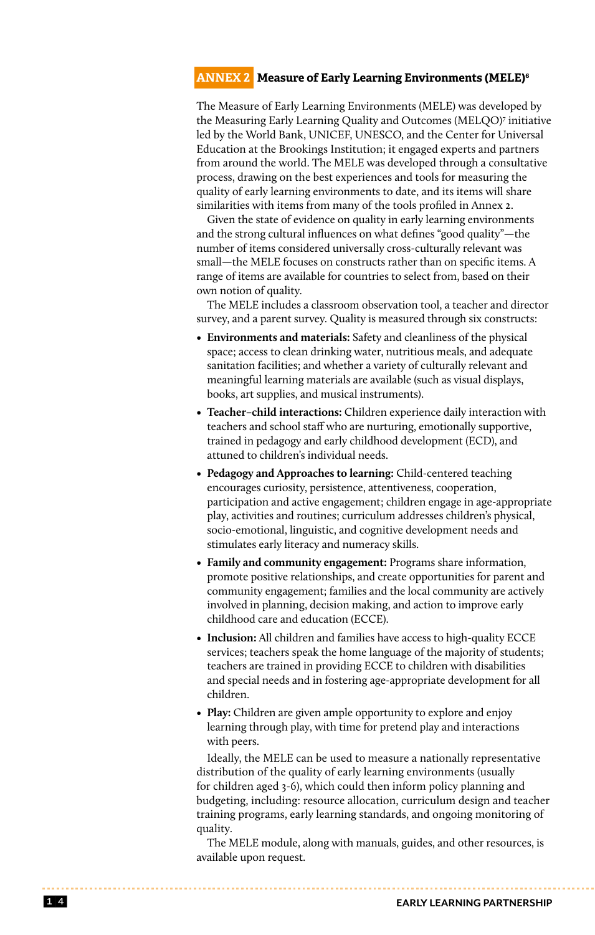#### **ANNEX 2 Measure of Early Learning Environments (MELE)6**

The Measure of Early Learning Environments (MELE) was developed by the Measuring Early Learning Quality and Outcomes (MELQO)<sup>7</sup> initiative led by the World Bank, UNICEF, UNESCO, and the Center for Universal Education at the Brookings Institution; it engaged experts and partners from around the world. The MELE was developed through a consultative process, drawing on the best experiences and tools for measuring the quality of early learning environments to date, and its items will share similarities with items from many of the tools profiled in Annex 2.

Given the state of evidence on quality in early learning environments and the strong cultural influences on what defines "good quality"—the number of items considered universally cross-culturally relevant was small—the MELE focuses on constructs rather than on specific items. A range of items are available for countries to select from, based on their own notion of quality.

The MELE includes a classroom observation tool, a teacher and director survey, and a parent survey. Quality is measured through six constructs:

- **• Environments and materials:** Safety and cleanliness of the physical space; access to clean drinking water, nutritious meals, and adequate sanitation facilities; and whether a variety of culturally relevant and meaningful learning materials are available (such as visual displays, books, art supplies, and musical instruments).
- **• Teacher–child interactions:** Children experience daily interaction with teachers and school staff who are nurturing, emotionally supportive, trained in pedagogy and early childhood development (ECD), and attuned to children's individual needs.
- **• Pedagogy and Approaches to learning:** Child-centered teaching encourages curiosity, persistence, attentiveness, cooperation, participation and active engagement; children engage in age-appropriate play, activities and routines; curriculum addresses children's physical, socio-emotional, linguistic, and cognitive development needs and stimulates early literacy and numeracy skills.
- **• Family and community engagement:** Programs share information, promote positive relationships, and create opportunities for parent and community engagement; families and the local community are actively involved in planning, decision making, and action to improve early childhood care and education (ECCE).
- **• Inclusion:** All children and families have access to high-quality ECCE services; teachers speak the home language of the majority of students; teachers are trained in providing ECCE to children with disabilities and special needs and in fostering age-appropriate development for all children.
- **Play:** Children are given ample opportunity to explore and enjoy learning through play, with time for pretend play and interactions with peers.

Ideally, the MELE can be used to measure a nationally representative distribution of the quality of early learning environments (usually for children aged 3-6), which could then inform policy planning and budgeting, including: resource allocation, curriculum design and teacher training programs, early learning standards, and ongoing monitoring of quality.

The MELE module, along with manuals, guides, and other resources, is available upon request.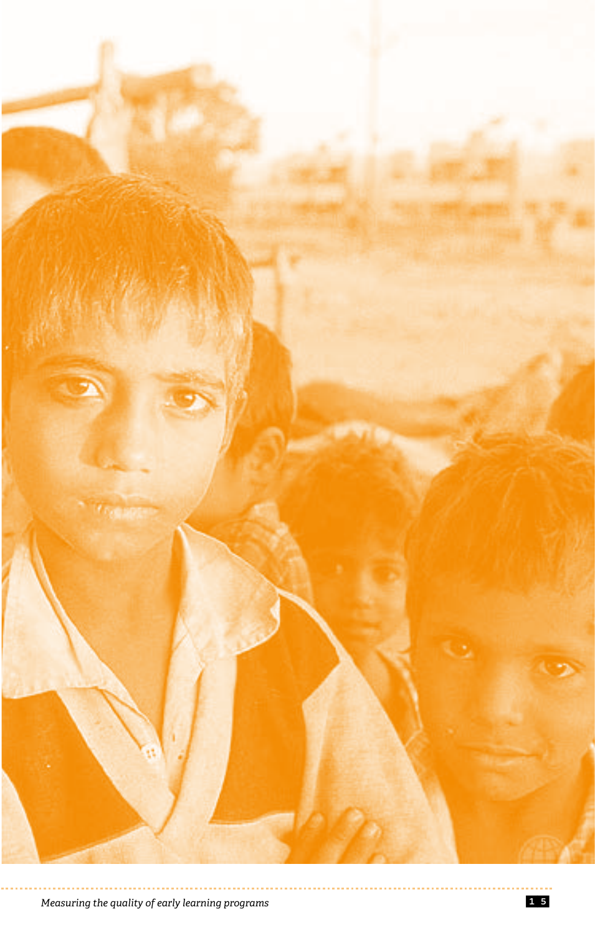